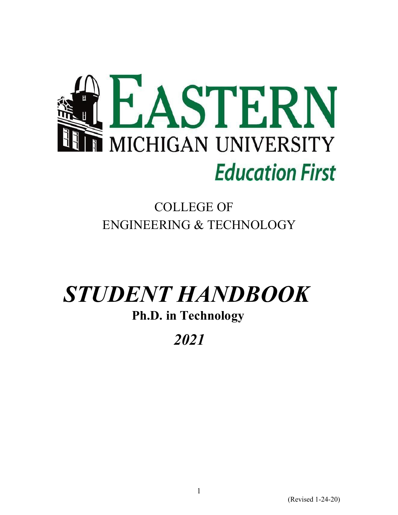

### COLLEGE OF ENGINEERING & TECHNOLOGY

# *STUDENT HANDBOOK*

### **Ph.D. in Technology**

## *2021*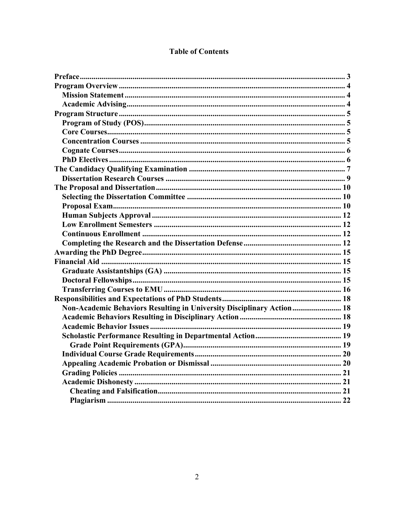| <b>Table of Contents</b> |  |
|--------------------------|--|
|--------------------------|--|

| Non-Academic Behaviors Resulting in University Disciplinary Action 18 |  |
|-----------------------------------------------------------------------|--|
|                                                                       |  |
|                                                                       |  |
|                                                                       |  |
|                                                                       |  |
|                                                                       |  |
|                                                                       |  |
|                                                                       |  |
|                                                                       |  |
|                                                                       |  |
|                                                                       |  |
|                                                                       |  |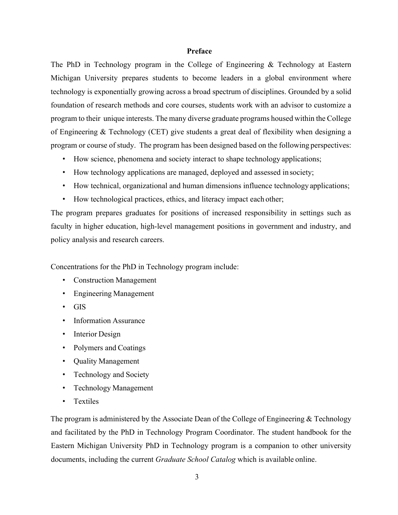#### **Preface**

The PhD in Technology program in the College of Engineering & Technology at Eastern Michigan University prepares students to become leaders in a global environment where technology is exponentially growing across a broad spectrum of disciplines. Grounded by a solid foundation of research methods and core courses, students work with an advisor to customize a program to their unique interests. The many diverse graduate programs housed within the College of Engineering & Technology (CET) give students a great deal of flexibility when designing a program or course of study. The program has been designed based on the following perspectives:

- How science, phenomena and society interact to shape technology applications;
- How technology applications are managed, deployed and assessed in society;
- How technical, organizational and human dimensions influence technology applications;
- How technological practices, ethics, and literacy impact each other;

The program prepares graduates for positions of increased responsibility in settings such as faculty in higher education, high-level management positions in government and industry, and policy analysis and research careers.

Concentrations for the PhD in Technology program include:

- Construction Management
- Engineering Management
- GIS
- Information Assurance
- Interior Design
- Polymers and Coatings
- Quality Management
- Technology and Society
- Technology Management
- **Textiles**

The program is administered by the Associate Dean of the College of Engineering & Technology and facilitated by the PhD in Technology Program Coordinator. The student handbook for the Eastern Michigan University PhD in Technology program is a companion to other university documents, including the current *Graduate School Catalog* which is available online.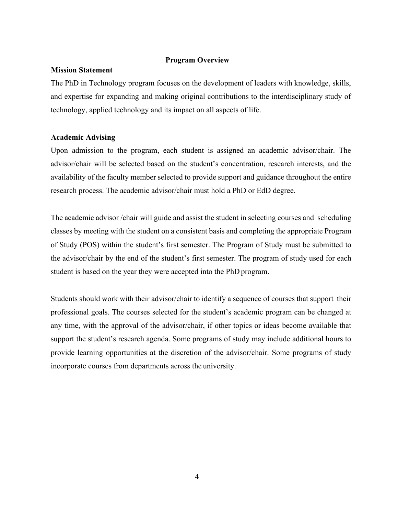#### **Program Overview**

#### **Mission Statement**

The PhD in Technology program focuses on the development of leaders with knowledge, skills, and expertise for expanding and making original contributions to the interdisciplinary study of technology, applied technology and its impact on all aspects of life.

#### **Academic Advising**

Upon admission to the program, each student is assigned an academic advisor/chair. The advisor/chair will be selected based on the student's concentration, research interests, and the availability of the faculty member selected to provide support and guidance throughout the entire research process. The academic advisor/chair must hold a PhD or EdD degree.

The academic advisor /chair will guide and assist the student in selecting courses and scheduling classes by meeting with the student on a consistent basis and completing the appropriate Program of Study (POS) within the student's first semester. The Program of Study must be submitted to the advisor/chair by the end of the student's first semester. The program of study used for each student is based on the year they were accepted into the PhD program.

Students should work with their advisor/chair to identify a sequence of courses that support their professional goals. The courses selected for the student's academic program can be changed at any time, with the approval of the advisor/chair, if other topics or ideas become available that support the student's research agenda. Some programs of study may include additional hours to provide learning opportunities at the discretion of the advisor/chair. Some programs of study incorporate courses from departments across the university.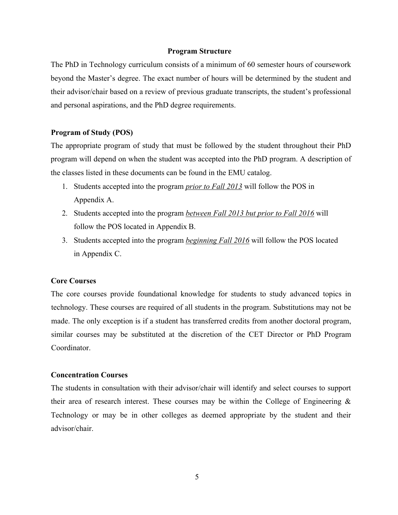#### **Program Structure**

The PhD in Technology curriculum consists of a minimum of 60 semester hours of coursework beyond the Master's degree. The exact number of hours will be determined by the student and their advisor/chair based on a review of previous graduate transcripts, the student's professional and personal aspirations, and the PhD degree requirements.

#### **Program of Study (POS)**

The appropriate program of study that must be followed by the student throughout their PhD program will depend on when the student was accepted into the PhD program. A description of the classes listed in these documents can be found in the EMU catalog.

- 1. Students accepted into the program *prior to Fall 2013* will follow the POS in Appendix A.
- 2. Students accepted into the program *between Fall 2013 but prior to Fall 2016* will follow the POS located in Appendix B.
- 3. Students accepted into the program *beginning Fall 2016* will follow the POS located in Appendix C.

#### **Core Courses**

The core courses provide foundational knowledge for students to study advanced topics in technology. These courses are required of all students in the program. Substitutions may not be made. The only exception is if a student has transferred credits from another doctoral program, similar courses may be substituted at the discretion of the CET Director or PhD Program Coordinator.

#### **Concentration Courses**

The students in consultation with their advisor/chair will identify and select courses to support their area of research interest. These courses may be within the College of Engineering  $\&$ Technology or may be in other colleges as deemed appropriate by the student and their advisor/chair.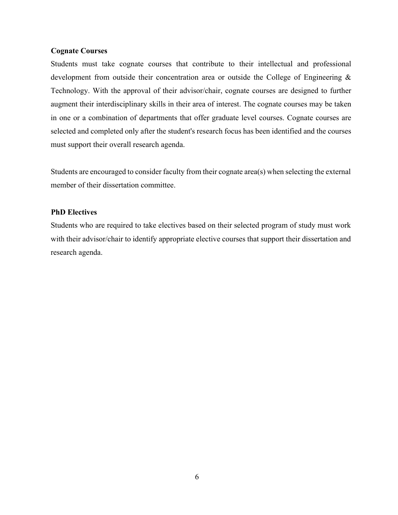#### **Cognate Courses**

Students must take cognate courses that contribute to their intellectual and professional development from outside their concentration area or outside the College of Engineering & Technology. With the approval of their advisor/chair, cognate courses are designed to further augment their interdisciplinary skills in their area of interest. The cognate courses may be taken in one or a combination of departments that offer graduate level courses. Cognate courses are selected and completed only after the student's research focus has been identified and the courses must support their overall research agenda.

Students are encouraged to consider faculty from their cognate area(s) when selecting the external member of their dissertation committee.

#### **PhD Electives**

Students who are required to take electives based on their selected program of study must work with their advisor/chair to identify appropriate elective courses that support their dissertation and research agenda.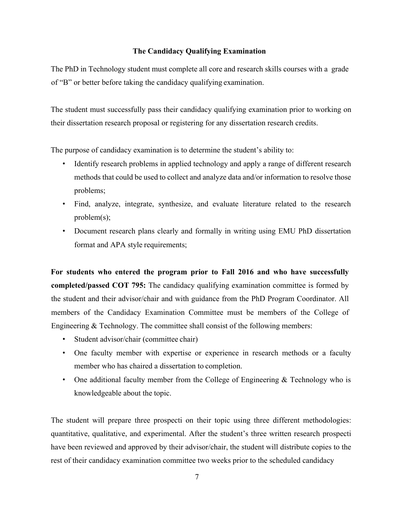#### **The Candidacy Qualifying Examination**

The PhD in Technology student must complete all core and research skills courses with a grade of "B" or better before taking the candidacy qualifying examination.

The student must successfully pass their candidacy qualifying examination prior to working on their dissertation research proposal or registering for any dissertation research credits.

The purpose of candidacy examination is to determine the student's ability to:

- Identify research problems in applied technology and apply a range of different research methods that could be used to collect and analyze data and/or information to resolve those problems;
- Find, analyze, integrate, synthesize, and evaluate literature related to the research problem(s);
- Document research plans clearly and formally in writing using EMU PhD dissertation format and APA style requirements;

**For students who entered the program prior to Fall 2016 and who have successfully completed/passed COT 795:** The candidacy qualifying examination committee is formed by the student and their advisor/chair and with guidance from the PhD Program Coordinator. All members of the Candidacy Examination Committee must be members of the College of Engineering & Technology. The committee shall consist of the following members:

- Student advisor/chair (committee chair)
- One faculty member with expertise or experience in research methods or a faculty member who has chaired a dissertation to completion.
- One additional faculty member from the College of Engineering  $&$  Technology who is knowledgeable about the topic.

The student will prepare three prospecti on their topic using three different methodologies: quantitative, qualitative, and experimental. After the student's three written research prospecti have been reviewed and approved by their advisor/chair, the student will distribute copies to the rest of their candidacy examination committee two weeks prior to the scheduled candidacy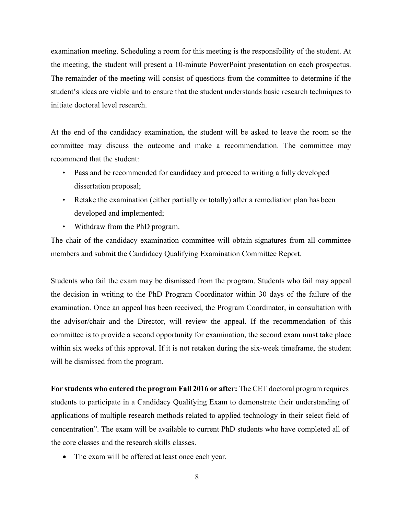examination meeting. Scheduling a room for this meeting is the responsibility of the student. At the meeting, the student will present a 10-minute PowerPoint presentation on each prospectus. The remainder of the meeting will consist of questions from the committee to determine if the student's ideas are viable and to ensure that the student understands basic research techniques to initiate doctoral level research.

At the end of the candidacy examination, the student will be asked to leave the room so the committee may discuss the outcome and make a recommendation. The committee may recommend that the student:

- Pass and be recommended for candidacy and proceed to writing a fully developed dissertation proposal;
- Retake the examination (either partially or totally) after a remediation plan has been developed and implemented;
- Withdraw from the PhD program.

The chair of the candidacy examination committee will obtain signatures from all committee members and submit the Candidacy Qualifying Examination Committee Report.

Students who fail the exam may be dismissed from the program. Students who fail may appeal the decision in writing to the PhD Program Coordinator within 30 days of the failure of the examination. Once an appeal has been received, the Program Coordinator, in consultation with the advisor/chair and the Director, will review the appeal. If the recommendation of this committee is to provide a second opportunity for examination, the second exam must take place within six weeks of this approval. If it is not retaken during the six-week timeframe, the student will be dismissed from the program.

**For students who entered the program Fall 2016 or after:** The CET doctoral program requires students to participate in a Candidacy Qualifying Exam to demonstrate their understanding of applications of multiple research methods related to applied technology in their select field of concentration". The exam will be available to current PhD students who have completed all of the core classes and the research skills classes.

• The exam will be offered at least once each year.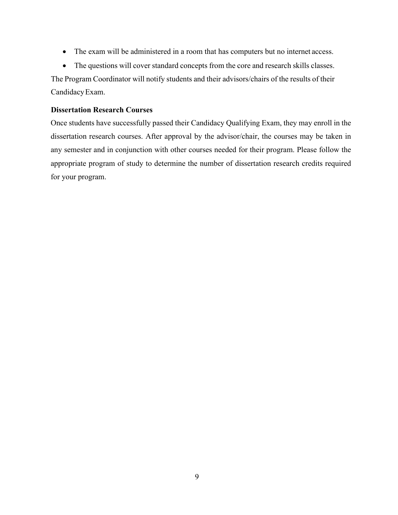- The exam will be administered in a room that has computers but no internet access.
- The questions will cover standard concepts from the core and research skills classes.

The Program Coordinator will notify students and their advisors/chairs of the results of their CandidacyExam.

#### **Dissertation Research Courses**

Once students have successfully passed their Candidacy Qualifying Exam, they may enroll in the dissertation research courses. After approval by the advisor/chair, the courses may be taken in any semester and in conjunction with other courses needed for their program. Please follow the appropriate program of study to determine the number of dissertation research credits required for your program.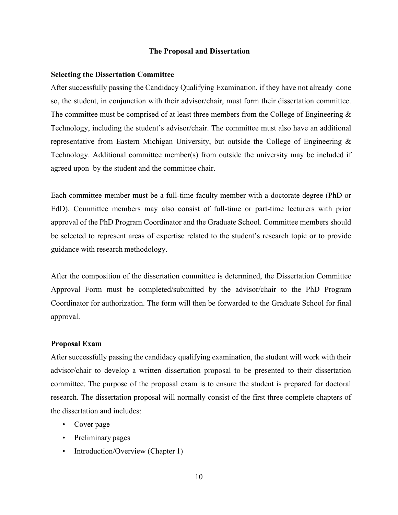#### **The Proposal and Dissertation**

#### **Selecting the Dissertation Committee**

After successfully passing the Candidacy Qualifying Examination, if they have not already done so, the student, in conjunction with their advisor/chair, must form their dissertation committee. The committee must be comprised of at least three members from the College of Engineering & Technology, including the student's advisor/chair. The committee must also have an additional representative from Eastern Michigan University, but outside the College of Engineering & Technology. Additional committee member(s) from outside the university may be included if agreed upon by the student and the committee chair.

Each committee member must be a full-time faculty member with a doctorate degree (PhD or EdD). Committee members may also consist of full-time or part-time lecturers with prior approval of the PhD Program Coordinator and the Graduate School. Committee members should be selected to represent areas of expertise related to the student's research topic or to provide guidance with research methodology.

After the composition of the dissertation committee is determined, the Dissertation Committee Approval Form must be completed/submitted by the advisor/chair to the PhD Program Coordinator for authorization. The form will then be forwarded to the Graduate School for final approval.

#### **Proposal Exam**

After successfully passing the candidacy qualifying examination, the student will work with their advisor/chair to develop a written dissertation proposal to be presented to their dissertation committee. The purpose of the proposal exam is to ensure the student is prepared for doctoral research. The dissertation proposal will normally consist of the first three complete chapters of the dissertation and includes:

- Cover page
- Preliminary pages
- Introduction/Overview (Chapter 1)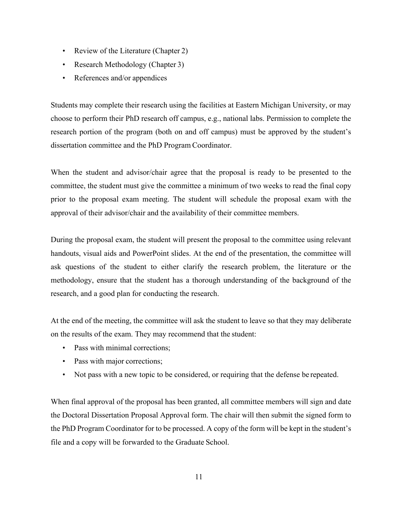- Review of the Literature (Chapter 2)
- Research Methodology (Chapter 3)
- References and/or appendices

Students may complete their research using the facilities at Eastern Michigan University, or may choose to perform their PhD research off campus, e.g., national labs. Permission to complete the research portion of the program (both on and off campus) must be approved by the student's dissertation committee and the PhD Program Coordinator.

When the student and advisor/chair agree that the proposal is ready to be presented to the committee, the student must give the committee a minimum of two weeks to read the final copy prior to the proposal exam meeting. The student will schedule the proposal exam with the approval of their advisor/chair and the availability of their committee members.

During the proposal exam, the student will present the proposal to the committee using relevant handouts, visual aids and PowerPoint slides. At the end of the presentation, the committee will ask questions of the student to either clarify the research problem, the literature or the methodology, ensure that the student has a thorough understanding of the background of the research, and a good plan for conducting the research.

At the end of the meeting, the committee will ask the student to leave so that they may deliberate on the results of the exam. They may recommend that the student:

- Pass with minimal corrections;
- Pass with major corrections;
- Not pass with a new topic to be considered, or requiring that the defense be repeated.

When final approval of the proposal has been granted, all committee members will sign and date the Doctoral Dissertation Proposal Approval form. The chair will then submit the signed form to the PhD Program Coordinator for to be processed. A copy of the form will be kept in the student's file and a copy will be forwarded to the Graduate School.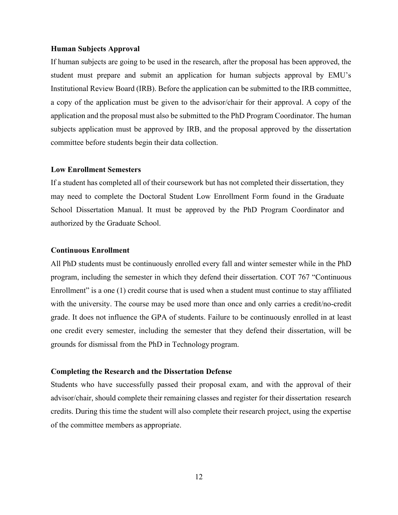#### **Human Subjects Approval**

If human subjects are going to be used in the research, after the proposal has been approved, the student must prepare and submit an application for human subjects approval by EMU's Institutional Review Board (IRB). Before the application can be submitted to the IRB committee, a copy of the application must be given to the advisor/chair for their approval. A copy of the application and the proposal must also be submitted to the PhD Program Coordinator. The human subjects application must be approved by IRB, and the proposal approved by the dissertation committee before students begin their data collection.

#### **Low Enrollment Semesters**

If a student has completed all of their coursework but has not completed their dissertation, they may need to complete the Doctoral Student Low Enrollment Form found in the Graduate School Dissertation Manual. It must be approved by the PhD Program Coordinator and authorized by the Graduate School.

#### **Continuous Enrollment**

All PhD students must be continuously enrolled every fall and winter semester while in the PhD program, including the semester in which they defend their dissertation. COT 767 "Continuous Enrollment" is a one (1) credit course that is used when a student must continue to stay affiliated with the university. The course may be used more than once and only carries a credit/no-credit grade. It does not influence the GPA of students. Failure to be continuously enrolled in at least one credit every semester, including the semester that they defend their dissertation, will be grounds for dismissal from the PhD in Technology program.

#### **Completing the Research and the Dissertation Defense**

Students who have successfully passed their proposal exam, and with the approval of their advisor/chair, should complete their remaining classes and register for their dissertation research credits. During this time the student will also complete their research project, using the expertise of the committee members as appropriate.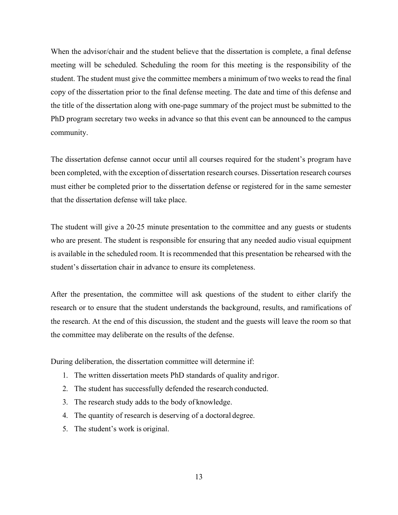When the advisor/chair and the student believe that the dissertation is complete, a final defense meeting will be scheduled. Scheduling the room for this meeting is the responsibility of the student. The student must give the committee members a minimum of two weeks to read the final copy of the dissertation prior to the final defense meeting. The date and time of this defense and the title of the dissertation along with one-page summary of the project must be submitted to the PhD program secretary two weeks in advance so that this event can be announced to the campus community.

The dissertation defense cannot occur until all courses required for the student's program have been completed, with the exception of dissertation research courses. Dissertation research courses must either be completed prior to the dissertation defense or registered for in the same semester that the dissertation defense will take place.

The student will give a 20-25 minute presentation to the committee and any guests or students who are present. The student is responsible for ensuring that any needed audio visual equipment is available in the scheduled room. It is recommended that this presentation be rehearsed with the student's dissertation chair in advance to ensure its completeness.

After the presentation, the committee will ask questions of the student to either clarify the research or to ensure that the student understands the background, results, and ramifications of the research. At the end of this discussion, the student and the guests will leave the room so that the committee may deliberate on the results of the defense.

During deliberation, the dissertation committee will determine if:

- 1. The written dissertation meets PhD standards of quality and rigor.
- 2. The student has successfully defended the research conducted.
- 3. The research study adds to the body of knowledge.
- 4. The quantity of research is deserving of a doctoral degree.
- 5. The student's work is original.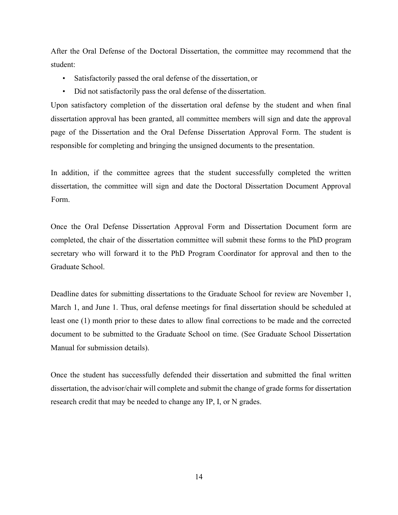After the Oral Defense of the Doctoral Dissertation, the committee may recommend that the student:

- Satisfactorily passed the oral defense of the dissertation, or
- Did not satisfactorily pass the oral defense of the dissertation.

Upon satisfactory completion of the dissertation oral defense by the student and when final dissertation approval has been granted, all committee members will sign and date the approval page of the Dissertation and the Oral Defense Dissertation Approval Form. The student is responsible for completing and bringing the unsigned documents to the presentation.

In addition, if the committee agrees that the student successfully completed the written dissertation, the committee will sign and date the Doctoral Dissertation Document Approval Form.

Once the Oral Defense Dissertation Approval Form and Dissertation Document form are completed, the chair of the dissertation committee will submit these forms to the PhD program secretary who will forward it to the PhD Program Coordinator for approval and then to the Graduate School.

Deadline dates for submitting dissertations to the Graduate School for review are November 1, March 1, and June 1. Thus, oral defense meetings for final dissertation should be scheduled at least one (1) month prior to these dates to allow final corrections to be made and the corrected document to be submitted to the Graduate School on time. (See Graduate School Dissertation Manual for submission details).

Once the student has successfully defended their dissertation and submitted the final written dissertation, the advisor/chair will complete and submit the change of grade forms for dissertation research credit that may be needed to change any IP, I, or N grades.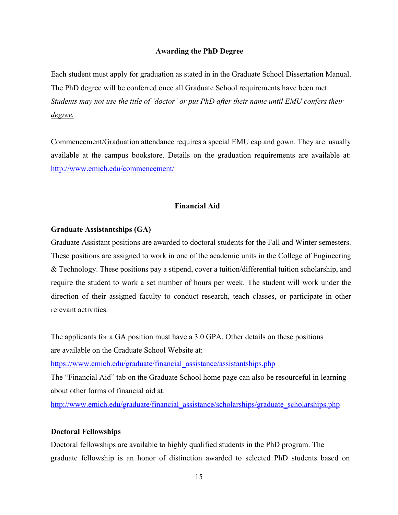#### **Awarding the PhD Degree**

Each student must apply for graduation as stated in in the Graduate School Dissertation Manual. The PhD degree will be conferred once all Graduate School requirements have been met. *Students may not use the title of 'doctor' or put PhD after their name until EMU confers their degree.*

Commencement/Graduation attendance requires a special EMU cap and gown. They are usually available at the campus bookstore. Details on the graduation requirements are available at: http://www.emich.edu/commencement/

#### **Financial Aid**

#### **Graduate Assistantships (GA)**

Graduate Assistant positions are awarded to doctoral students for the Fall and Winter semesters. These positions are assigned to work in one of the academic units in the College of Engineering & Technology. These positions pay a stipend, cover a tuition/differential tuition scholarship, and require the student to work a set number of hours per week. The student will work under the direction of their assigned faculty to conduct research, teach classes, or participate in other relevant activities.

The applicants for a GA position must have a 3.0 GPA. Other details on these positions are available on the Graduate School Website at:

https://www.emich.edu/graduate/financial\_assistance/assistantships.php

The "Financial Aid" tab on the Graduate School home page can also be resourceful in learning about other forms of financial aid at:

http://www.emich.edu/graduate/financial\_assistance/scholarships/graduate\_scholarships.php

#### **Doctoral Fellowships**

Doctoral fellowships are available to highly qualified students in the PhD program. The graduate fellowship is an honor of distinction awarded to selected PhD students based on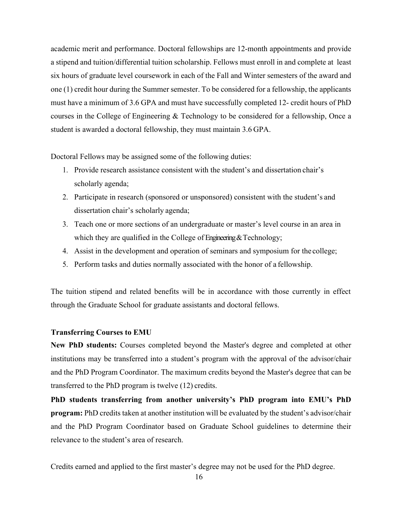academic merit and performance. Doctoral fellowships are 12-month appointments and provide a stipend and tuition/differential tuition scholarship. Fellows must enroll in and complete at least six hours of graduate level coursework in each of the Fall and Winter semesters of the award and one (1) credit hour during the Summer semester. To be considered for a fellowship, the applicants must have a minimum of 3.6 GPA and must have successfully completed 12- credit hours of PhD courses in the College of Engineering & Technology to be considered for a fellowship, Once a student is awarded a doctoral fellowship, they must maintain 3.6 GPA.

Doctoral Fellows may be assigned some of the following duties:

- 1. Provide research assistance consistent with the student's and dissertation chair's scholarly agenda;
- 2. Participate in research (sponsored or unsponsored) consistent with the student's and dissertation chair's scholarly agenda;
- 3. Teach one or more sections of an undergraduate or master's level course in an area in which they are qualified in the College of Engineering & Technology;
- 4. Assist in the development and operation of seminars and symposium for the college;
- 5. Perform tasks and duties normally associated with the honor of a fellowship.

The tuition stipend and related benefits will be in accordance with those currently in effect through the Graduate School for graduate assistants and doctoral fellows.

#### **Transferring Courses to EMU**

**New PhD students:** Courses completed beyond the Master's degree and completed at other institutions may be transferred into a student's program with the approval of the advisor/chair and the PhD Program Coordinator. The maximum credits beyond the Master's degree that can be transferred to the PhD program is twelve (12) credits.

**PhD students transferring from another university's PhD program into EMU's PhD program:** PhD credits taken at another institution will be evaluated by the student's advisor/chair and the PhD Program Coordinator based on Graduate School guidelines to determine their relevance to the student's area of research.

Credits earned and applied to the first master's degree may not be used for the PhD degree.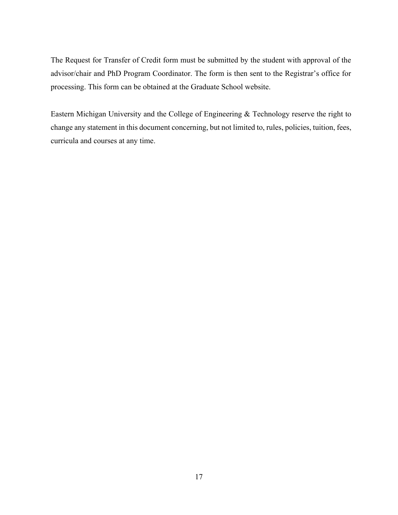The Request for Transfer of Credit form must be submitted by the student with approval of the advisor/chair and PhD Program Coordinator. The form is then sent to the Registrar's office for processing. This form can be obtained at the Graduate School website.

Eastern Michigan University and the College of Engineering & Technology reserve the right to change any statement in this document concerning, but not limited to, rules, policies, tuition, fees, curricula and courses at any time.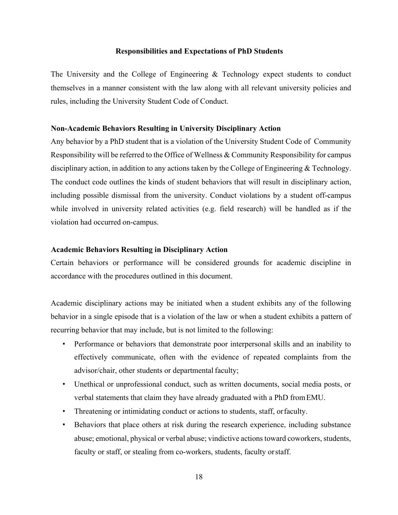#### **Responsibilities and Expectations of PhD Students**

The University and the College of Engineering & Technology expect students to conduct themselves in a manner consistent with the law along with all relevant university policies and rules, including the University Student Code of Conduct.

#### **Non-Academic Behaviors Resulting in University Disciplinary Action**

Any behavior by a PhD student that is a violation of the University Student Code of Community Responsibility will be referred to the Office of Wellness & Community Responsibility for campus disciplinary action, in addition to any actions taken by the College of Engineering & Technology. The conduct code outlines the kinds of student behaviors that will result in disciplinary action, including possible dismissal from the university. Conduct violations by a student off-campus while involved in university related activities (e.g. field research) will be handled as if the violation had occurred on-campus.

#### **Academic Behaviors Resulting in Disciplinary Action**

Certain behaviors or performance will be considered grounds for academic discipline in accordance with the procedures outlined in this document.

Academic disciplinary actions may be initiated when a student exhibits any of the following behavior in a single episode that is a violation of the law or when a student exhibits a pattern of recurring behavior that may include, but is not limited to the following:

- Performance or behaviors that demonstrate poor interpersonal skills and an inability to effectively communicate, often with the evidence of repeated complaints from the advisor/chair, other students or departmental faculty;
- Unethical or unprofessional conduct, such as written documents, social media posts, or verbal statements that claim they have already graduated with a PhD fromEMU.
- Threatening or intimidating conduct or actions to students, staff, or faculty.
- Behaviors that place others at risk during the research experience, including substance abuse; emotional, physical or verbal abuse; vindictive actions toward coworkers, students, faculty or staff, or stealing from co-workers, students, faculty orstaff.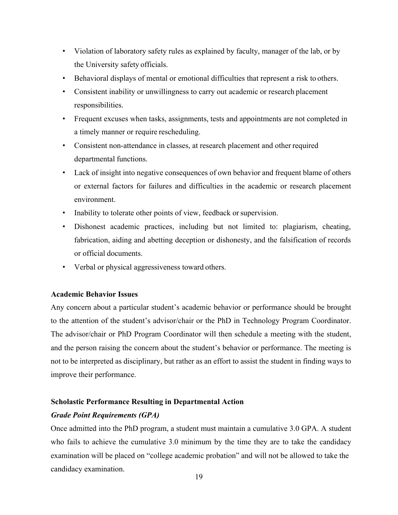- Violation of laboratory safety rules as explained by faculty, manager of the lab, or by the University safety officials.
- Behavioral displays of mental or emotional difficulties that represent a risk to others.
- Consistent inability or unwillingness to carry out academic or research placement responsibilities.
- Frequent excuses when tasks, assignments, tests and appointments are not completed in a timely manner or require rescheduling.
- Consistent non-attendance in classes, at research placement and other required departmental functions.
- Lack of insight into negative consequences of own behavior and frequent blame of others or external factors for failures and difficulties in the academic or research placement environment.
- Inability to tolerate other points of view, feedback or supervision.
- Dishonest academic practices, including but not limited to: plagiarism, cheating, fabrication, aiding and abetting deception or dishonesty, and the falsification of records or official documents.
- Verbal or physical aggressiveness toward others.

#### **Academic Behavior Issues**

Any concern about a particular student's academic behavior or performance should be brought to the attention of the student's advisor/chair or the PhD in Technology Program Coordinator. The advisor/chair or PhD Program Coordinator will then schedule a meeting with the student, and the person raising the concern about the student's behavior or performance. The meeting is not to be interpreted as disciplinary, but rather as an effort to assist the student in finding ways to improve their performance.

#### **Scholastic Performance Resulting in Departmental Action**

#### *Grade Point Requirements (GPA)*

Once admitted into the PhD program, a student must maintain a cumulative 3.0 GPA. A student who fails to achieve the cumulative 3.0 minimum by the time they are to take the candidacy examination will be placed on "college academic probation" and will not be allowed to take the candidacy examination.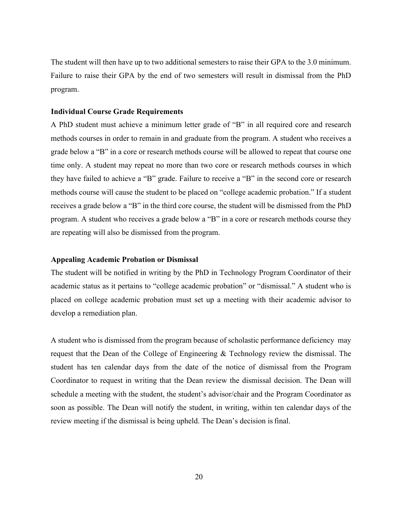The student will then have up to two additional semesters to raise their GPA to the 3.0 minimum. Failure to raise their GPA by the end of two semesters will result in dismissal from the PhD program.

#### **Individual Course Grade Requirements**

A PhD student must achieve a minimum letter grade of "B" in all required core and research methods courses in order to remain in and graduate from the program. A student who receives a grade below a "B" in a core or research methods course will be allowed to repeat that course one time only. A student may repeat no more than two core or research methods courses in which they have failed to achieve a "B" grade. Failure to receive a "B" in the second core or research methods course will cause the student to be placed on "college academic probation." If a student receives a grade below a "B" in the third core course, the student will be dismissed from the PhD program. A student who receives a grade below a "B" in a core or research methods course they are repeating will also be dismissed from the program.

#### **Appealing Academic Probation or Dismissal**

The student will be notified in writing by the PhD in Technology Program Coordinator of their academic status as it pertains to "college academic probation" or "dismissal." A student who is placed on college academic probation must set up a meeting with their academic advisor to develop a remediation plan.

A student who is dismissed from the program because of scholastic performance deficiency may request that the Dean of the College of Engineering & Technology review the dismissal. The student has ten calendar days from the date of the notice of dismissal from the Program Coordinator to request in writing that the Dean review the dismissal decision. The Dean will schedule a meeting with the student, the student's advisor/chair and the Program Coordinator as soon as possible. The Dean will notify the student, in writing, within ten calendar days of the review meeting if the dismissal is being upheld. The Dean's decision isfinal.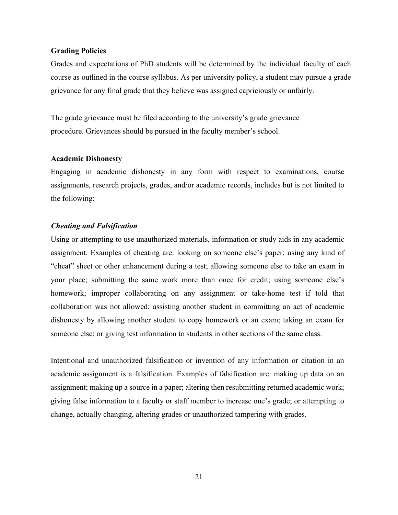#### **Grading Policies**

Grades and expectations of PhD students will be determined by the individual faculty of each course as outlined in the course syllabus. As per university policy, a student may pursue a grade grievance for any final grade that they believe was assigned capriciously or unfairly.

The grade grievance must be filed according to the university's grade grievance procedure. Grievances should be pursued in the faculty member's school.

#### **Academic Dishonesty**

Engaging in academic dishonesty in any form with respect to examinations, course assignments, research projects, grades, and/or academic records, includes but is not limited to the following:

#### *Cheating and Falsification*

Using or attempting to use unauthorized materials, information or study aids in any academic assignment. Examples of cheating are: looking on someone else's paper; using any kind of "cheat" sheet or other enhancement during a test; allowing someone else to take an exam in your place; submitting the same work more than once for credit; using someone else's homework; improper collaborating on any assignment or take-home test if told that collaboration was not allowed; assisting another student in committing an act of academic dishonesty by allowing another student to copy homework or an exam; taking an exam for someone else; or giving test information to students in other sections of the same class.

Intentional and unauthorized falsification or invention of any information or citation in an academic assignment is a falsification. Examples of falsification are: making up data on an assignment; making up a source in a paper; altering then resubmitting returned academic work; giving false information to a faculty or staff member to increase one's grade; or attempting to change, actually changing, altering grades or unauthorized tampering with grades.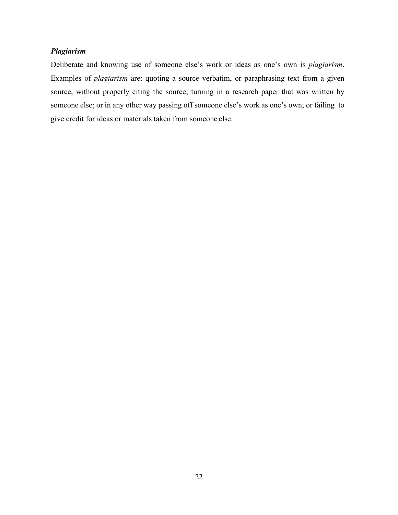#### *Plagiarism*

Deliberate and knowing use of someone else's work or ideas as one's own is *plagiarism*. Examples of *plagiarism* are: quoting a source verbatim, or paraphrasing text from a given source, without properly citing the source; turning in a research paper that was written by someone else; or in any other way passing off someone else's work as one's own; or failing to give credit for ideas or materials taken from someone else.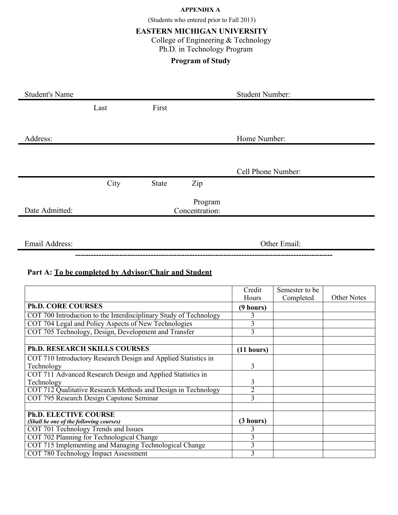#### **APPENDIX A**

(Students who entered prior to Fall 2013)

#### **EASTERN MICHIGAN UNIVERSITY**

College of Engineering & Technology Ph.D. in Technology Program

#### **Program of Study**

| <b>Student's Name</b> |      |       |                           | <b>Student Number:</b> |
|-----------------------|------|-------|---------------------------|------------------------|
|                       | Last | First |                           |                        |
|                       |      |       |                           |                        |
| Address:              |      |       |                           | Home Number:           |
|                       |      |       |                           |                        |
|                       |      |       |                           | Cell Phone Number:     |
|                       | City | State | Zip                       |                        |
| Date Admitted:        |      |       | Program<br>Concentration: |                        |
|                       |      |       |                           |                        |
|                       |      |       |                           |                        |
| Email Address:        |      |       |                           | Other Email:           |
|                       |      |       |                           |                        |

#### **Part A: To be completed by Advisor/Chair and Student**

|                                                                   | Credit         | Semester to be |                    |
|-------------------------------------------------------------------|----------------|----------------|--------------------|
|                                                                   | Hours          | Completed      | <b>Other Notes</b> |
| <b>Ph.D. CORE COURSES</b>                                         | (9 hours)      |                |                    |
| COT 700 Introduction to the Interdisciplinary Study of Technology |                |                |                    |
| COT 704 Legal and Policy Aspects of New Technologies              | 3              |                |                    |
| COT 705 Technology, Design, Development and Transfer              | 3              |                |                    |
|                                                                   |                |                |                    |
| <b>Ph.D. RESEARCH SKILLS COURSES</b>                              | (11 hours)     |                |                    |
| COT 710 Introductory Research Design and Applied Statistics in    |                |                |                    |
| Technology                                                        | $\overline{3}$ |                |                    |
| COT 711 Advanced Research Design and Applied Statistics in        |                |                |                    |
| Technology                                                        | 3              |                |                    |
| COT 712 Qualitative Research Methods and Design in Technology     | $\overline{2}$ |                |                    |
| COT 795 Research Design Capstone Seminar                          | 3              |                |                    |
|                                                                   |                |                |                    |
| <b>Ph.D. ELECTIVE COURSE</b>                                      |                |                |                    |
| (Shall be one of the following courses)                           | (3 hours)      |                |                    |
| COT 701 Technology Trends and Issues                              | 3              |                |                    |
| COT 702 Planning for Technological Change                         | 3              |                |                    |
| COT 715 Implementing and Managing Technological Change            | 3              |                |                    |
| COT 780 Technology Impact Assessment                              | 3              |                |                    |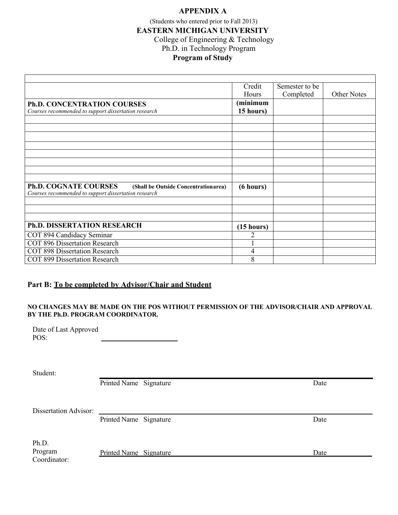#### **APPENDIX A**

(Students who entered prior to Fall 2013) **EASTERN MICHIGAN UNIVERSITY** College of Engineering & Technology Ph.D. in Technology Program

#### **Program of Study**

|                                                                      | Credit       | Semester to be |                    |
|----------------------------------------------------------------------|--------------|----------------|--------------------|
|                                                                      | <b>Hours</b> | Completed      | <b>Other Notes</b> |
| <b>Ph.D. CONCENTRATION COURSES</b>                                   | (minimum     |                |                    |
| Courses recommended to support dissertation research                 | 15 hours)    |                |                    |
|                                                                      |              |                |                    |
|                                                                      |              |                |                    |
|                                                                      |              |                |                    |
|                                                                      |              |                |                    |
|                                                                      |              |                |                    |
|                                                                      |              |                |                    |
|                                                                      |              |                |                    |
|                                                                      |              |                |                    |
| <b>Ph.D. COGNATE COURSES</b><br>(Shall be Outside Concentrationarea) | (6 hours)    |                |                    |
| Courses recommended to support dissertation research                 |              |                |                    |
|                                                                      |              |                |                    |
|                                                                      |              |                |                    |
|                                                                      |              |                |                    |
| <b>Ph.D. DISSERTATION RESEARCH</b>                                   | (15 hours)   |                |                    |
| COT 894 Candidacy Seminar                                            | 2            |                |                    |
| <b>COT 896 Dissertation Research</b>                                 |              |                |                    |
| <b>COT 898 Dissertation Research</b>                                 | 4            |                |                    |
| <b>COT 899 Dissertation Research</b>                                 | 8            |                |                    |

#### **Part B: To be completed by Advisor/Chair and Student**

#### **NO CHANGES MAY BE MADE ON THE POS WITHOUT PERMISSION OF THE ADVISOR/CHAIR AND APPROVAL BY THE Ph.D. PROGRAM COORDINATOR.**

Date of Last Approved POS:

Student:

Printed Name Signature Date

Dissertation Advisor:

Printed Name Signature Date

Ph.D. Program Coordinator:

Printed Name Signature Date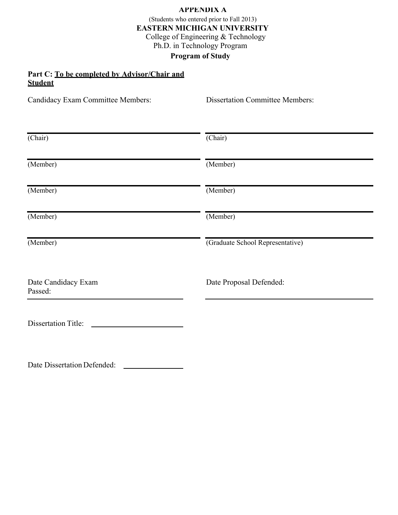#### **APPENDIX A**

(Students who entered prior to Fall 2013) **EASTERN MICHIGAN UNIVERSITY** College of Engineering & Technology Ph.D. in Technology Program **Program of Study**

#### **Part C: To be completed by Advisor/Chair and Student**

Candidacy Exam Committee Members: Dissertation Committee Members:

| (Chair)                        | $\overline{(Chair)}$             |
|--------------------------------|----------------------------------|
| (Member)                       | (Member)                         |
| (Member)                       | (Member)                         |
| (Member)                       | (Member)                         |
| (Member)                       | (Graduate School Representative) |
| Date Candidacy Exam<br>Passed: | Date Proposal Defended:          |
| <b>Dissertation Title:</b>     |                                  |

Date Dissertation Defended: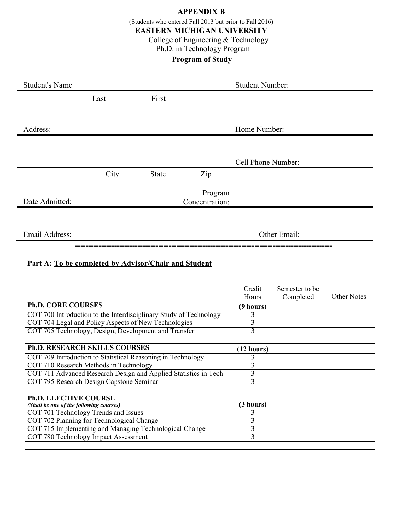#### **APPENDIX B**

(Students who entered Fall 2013 but prior to Fall 2016)

#### **EASTERN MICHIGAN UNIVERSITY**

College of Engineering & Technology

### Ph.D. in Technology Program

### **Program of Study**

| <b>Student's Name</b> |      |       | <b>Student Number:</b>    |  |
|-----------------------|------|-------|---------------------------|--|
|                       | Last | First |                           |  |
|                       |      |       |                           |  |
| Address:              |      |       | Home Number:              |  |
|                       |      |       |                           |  |
|                       |      |       | Cell Phone Number:        |  |
|                       | City | State | Zip                       |  |
| Date Admitted:        |      |       | Program<br>Concentration: |  |
|                       |      |       |                           |  |
| Email Address:        |      |       | Other Email:              |  |

**---------------------------------------------------------------------------------------------------**

#### **Part A: To be completed by Advisor/Chair and Student**

|                                                                   | Credit         | Semester to be |                    |
|-------------------------------------------------------------------|----------------|----------------|--------------------|
|                                                                   | Hours          | Completed      | <b>Other Notes</b> |
| <b>Ph.D. CORE COURSES</b>                                         | (9 hours)      |                |                    |
| COT 700 Introduction to the Interdisciplinary Study of Technology | 3              |                |                    |
| COT 704 Legal and Policy Aspects of New Technologies              | 3              |                |                    |
| COT 705 Technology, Design, Development and Transfer              | $\overline{3}$ |                |                    |
|                                                                   |                |                |                    |
| <b>Ph.D. RESEARCH SKILLS COURSES</b>                              | (12 hours)     |                |                    |
| COT 709 Introduction to Statistical Reasoning in Technology       | 3              |                |                    |
| COT 710 Research Methods in Technology                            | 3              |                |                    |
| COT 711 Advanced Research Design and Applied Statistics in Tech   | 3              |                |                    |
| COT 795 Research Design Capstone Seminar                          | 3              |                |                    |
|                                                                   |                |                |                    |
| <b>Ph.D. ELECTIVE COURSE</b>                                      |                |                |                    |
| (Shall be one of the following courses)                           | (3 hours)      |                |                    |
| COT 701 Technology Trends and Issues                              | 3              |                |                    |
| COT 702 Planning for Technological Change                         | 3              |                |                    |
| COT 715 Implementing and Managing Technological Change            | 3              |                |                    |
| COT 780 Technology Impact Assessment                              | 3              |                |                    |
|                                                                   |                |                |                    |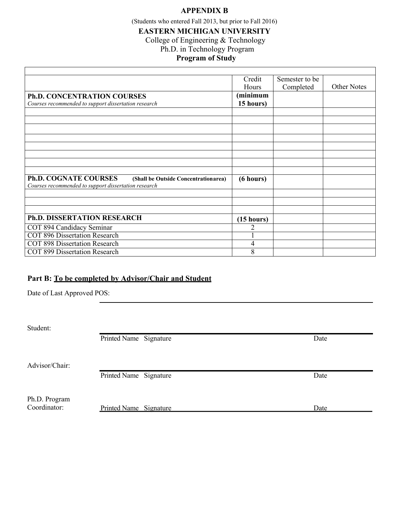#### **APPENDIX B**

(Students who entered Fall 2013, but prior to Fall 2016)

#### **EASTERN MICHIGAN UNIVERSITY**

College of Engineering & Technology

Ph.D. in Technology Program

### **Program of Study**

|                                                                                                                              | Credit     | Semester to be |             |
|------------------------------------------------------------------------------------------------------------------------------|------------|----------------|-------------|
|                                                                                                                              | Hours      | Completed      | Other Notes |
| Ph.D. CONCENTRATION COURSES                                                                                                  | (minimum   |                |             |
| Courses recommended to support dissertation research                                                                         | 15 hours)  |                |             |
|                                                                                                                              |            |                |             |
|                                                                                                                              |            |                |             |
|                                                                                                                              |            |                |             |
|                                                                                                                              |            |                |             |
|                                                                                                                              |            |                |             |
|                                                                                                                              |            |                |             |
|                                                                                                                              |            |                |             |
|                                                                                                                              |            |                |             |
| <b>Ph.D. COGNATE COURSES</b><br>(Shall be Outside Concentrationarea)<br>Courses recommended to support dissertation research | (6 hours)  |                |             |
|                                                                                                                              |            |                |             |
|                                                                                                                              |            |                |             |
|                                                                                                                              |            |                |             |
| <b>Ph.D. DISSERTATION RESEARCH</b>                                                                                           | (15 hours) |                |             |
| COT 894 Candidacy Seminar                                                                                                    | 2          |                |             |
| <b>COT 896 Dissertation Research</b>                                                                                         |            |                |             |
| <b>COT 898 Dissertation Research</b>                                                                                         | 4          |                |             |
| <b>COT 899 Dissertation Research</b>                                                                                         | 8          |                |             |

#### **Part B: To be completed by Advisor/Chair and Student**

Date of Last Approved POS:

Student:

Г

Printed Name Signature Date

Advisor/Chair:

Printed Name Signature Date

Ph.D. Program

Coordinator: Printed Name Signature Date Date

٦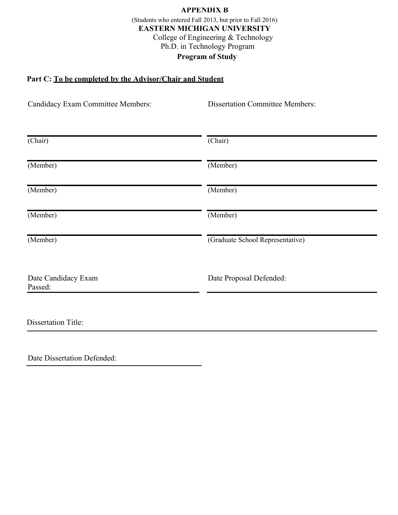#### **APPENDIX B** (Students who entered Fall 2013, but prior to Fall 2016) **EASTERN MICHIGAN UNIVERSITY** College of Engineering & Technology Ph.D. in Technology Program **Program of Study**

#### **Part C: To be completed by the Advisor/Chair and Student**

| Candidacy Exam Committee Members: | <b>Dissertation Committee Members:</b> |
|-----------------------------------|----------------------------------------|
| (Chair)                           | (Chair)                                |
| (Member)                          | (Member)                               |
| (Member)                          | (Member)                               |
| (Member)                          | (Member)                               |
| (Member)                          | (Graduate School Representative)       |
| Date Candidacy Exam<br>Passed:    | Date Proposal Defended:                |
| <b>Dissertation Title:</b>        |                                        |
|                                   |                                        |

Date Dissertation Defended: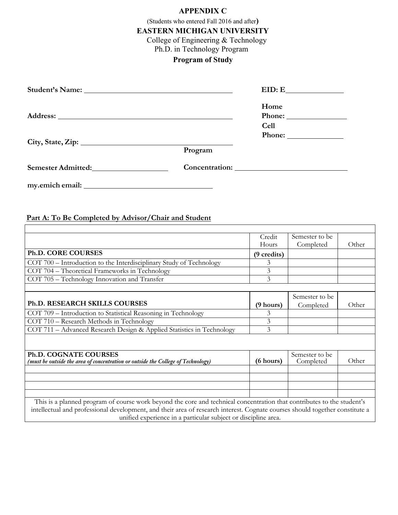#### **APPENDIX C**

(Students who entered Fall 2016 and after**)**

**EASTERN MICHIGAN UNIVERSITY**

College of Engineering & Technology

Ph.D. in Technology Program

#### **Program of Study**

|                           |         | EID: E              |
|---------------------------|---------|---------------------|
|                           |         | Home<br><b>Cell</b> |
|                           |         |                     |
|                           | Program |                     |
| <b>Semester Admitted:</b> |         |                     |
|                           |         |                     |

#### **Part A: To Be Completed by Advisor/Chair and Student**

|                                                                                                                              | Credit      | Semester to be              |       |
|------------------------------------------------------------------------------------------------------------------------------|-------------|-----------------------------|-------|
|                                                                                                                              | Hours       | Completed                   | Other |
| Ph.D. CORE COURSES                                                                                                           | (9 credits) |                             |       |
| COT 700 - Introduction to the Interdisciplinary Study of Technology                                                          | 3           |                             |       |
| COT 704 - Theoretical Frameworks in Technology                                                                               | 3           |                             |       |
| COT 705 – Technology Innovation and Transfer                                                                                 | 3           |                             |       |
|                                                                                                                              |             |                             |       |
| Ph.D. RESEARCH SKILLS COURSES                                                                                                |             | Semester to be              |       |
|                                                                                                                              | (9 hours)   | Completed                   | Other |
| COT 709 - Introduction to Statistical Reasoning in Technology                                                                | 3           |                             |       |
| COT 710 – Research Methods in Technology                                                                                     | 3           |                             |       |
| COT 711 - Advanced Research Design & Applied Statistics in Technology                                                        | 3           |                             |       |
|                                                                                                                              |             |                             |       |
| Ph.D. COGNATE COURSES<br>(must be outside the area of concentration or outside the College of Technology)                    | (6 hours)   | Semester to be<br>Completed | Other |
|                                                                                                                              |             |                             |       |
|                                                                                                                              |             |                             |       |
| This is a planned program of course work beyond the core and technical concentration that contributes to the student's       |             |                             |       |
| intellectual and professional development, and their area of research interest. Cognate courses should together constitute a |             |                             |       |
| unified experience in a particular subject or discipline area.                                                               |             |                             |       |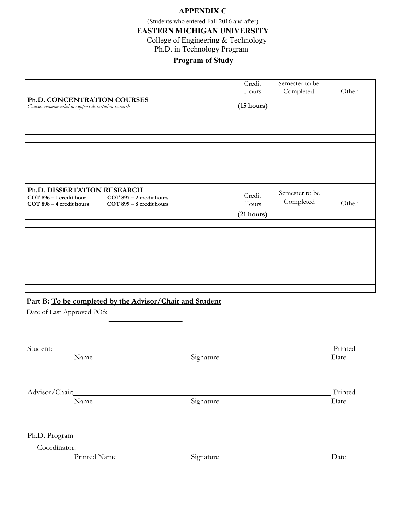#### **APPENDIX C**

(Students who entered Fall 2016 and after)

**EASTERN MICHIGAN UNIVERSITY**

College of Engineering & Technology

Ph.D. in Technology Program

#### **Program of Study**

|                                                                                                                                         | Credit          | Semester to be              |       |
|-----------------------------------------------------------------------------------------------------------------------------------------|-----------------|-----------------------------|-------|
|                                                                                                                                         | Hours           | Completed                   | Other |
| Ph.D. CONCENTRATION COURSES                                                                                                             |                 |                             |       |
| Courses recommended to support dissertation research                                                                                    | (15 hours)      |                             |       |
|                                                                                                                                         |                 |                             |       |
|                                                                                                                                         |                 |                             |       |
|                                                                                                                                         |                 |                             |       |
|                                                                                                                                         |                 |                             |       |
|                                                                                                                                         |                 |                             |       |
|                                                                                                                                         |                 |                             |       |
|                                                                                                                                         |                 |                             |       |
|                                                                                                                                         |                 |                             |       |
| Ph.D. DISSERTATION RESEARCH<br>COT 896 - 1 credit hour COT 897 - 2 credit hours<br>COT 898 - 4 credit hours<br>COT 899 - 8 credit hours | Credit<br>Hours | Semester to be<br>Completed | Other |
|                                                                                                                                         | (21 hours)      |                             |       |
|                                                                                                                                         |                 |                             |       |
|                                                                                                                                         |                 |                             |       |
|                                                                                                                                         |                 |                             |       |
|                                                                                                                                         |                 |                             |       |
|                                                                                                                                         |                 |                             |       |
|                                                                                                                                         |                 |                             |       |
|                                                                                                                                         |                 |                             |       |
|                                                                                                                                         |                 |                             |       |
|                                                                                                                                         |                 |                             |       |

#### **Part B: To be completed by the Advisor/Chair and Student**

Date of Last Approved POS:

| Student:       |              |           | Printed |
|----------------|--------------|-----------|---------|
|                | Name         | Signature | Date    |
|                |              |           |         |
| Advisor/Chair: |              |           | Printed |
|                | Name         | Signature | Date    |
| Ph.D. Program  |              |           |         |
| Coordinator:   |              |           |         |
|                | Printed Name | Signature | Date    |